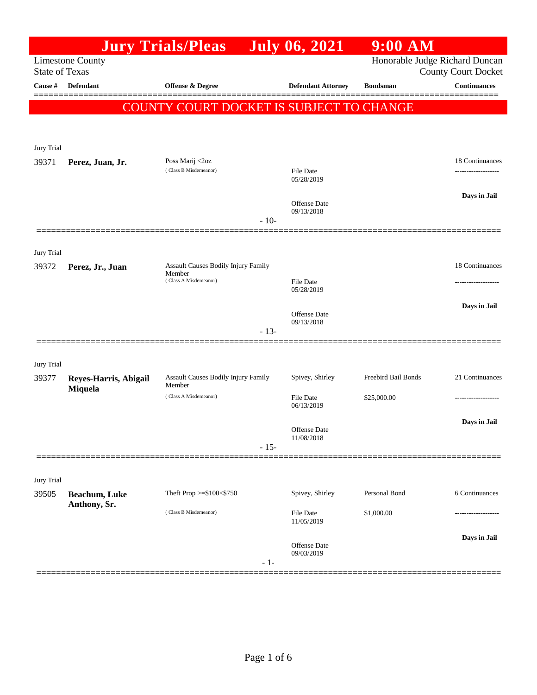| Honorable Judge Richard Duncan<br><b>Limestone County</b><br><b>State of Texas</b><br><b>County Court Docket</b><br>Defendant<br><b>Continuances</b><br>Cause #<br>Offense & Degree<br><b>Defendant Attorney</b><br><b>Bondsman</b><br>COUNTY COURT DOCKET IS SUBJECT TO CHANGE<br>Jury Trial<br>Poss Marij <2oz<br>39371<br>Perez, Juan, Jr.<br>(Class B Misdemeanor)<br>File Date<br>------------------<br>05/28/2019<br>Days in Jail<br>Offense Date<br>09/13/2018<br>$-10-$<br>Jury Trial<br>Assault Causes Bodily Injury Family<br>39372<br>Perez, Jr., Juan<br>Member<br>(Class A Misdemeanor)<br><b>File Date</b><br>05/28/2019<br>Days in Jail<br>Offense Date<br>09/13/2018<br>$-13-$<br>Jury Trial<br>Freebird Bail Bonds<br>Assault Causes Bodily Injury Family<br>Spivey, Shirley<br>39377<br>Reyes-Harris, Abigail<br>Member<br>Miquela<br>(Class A Misdemeanor)<br><b>File Date</b><br>\$25,000.00<br>06/13/2019<br>Days in Jail<br>Offense Date<br>11/08/2018 |  | <b>Jury Trials/Pleas</b> |        | <b>July 06, 2021</b> | $9:00$ AM |                 |
|------------------------------------------------------------------------------------------------------------------------------------------------------------------------------------------------------------------------------------------------------------------------------------------------------------------------------------------------------------------------------------------------------------------------------------------------------------------------------------------------------------------------------------------------------------------------------------------------------------------------------------------------------------------------------------------------------------------------------------------------------------------------------------------------------------------------------------------------------------------------------------------------------------------------------------------------------------------------------|--|--------------------------|--------|----------------------|-----------|-----------------|
|                                                                                                                                                                                                                                                                                                                                                                                                                                                                                                                                                                                                                                                                                                                                                                                                                                                                                                                                                                              |  |                          |        |                      |           |                 |
|                                                                                                                                                                                                                                                                                                                                                                                                                                                                                                                                                                                                                                                                                                                                                                                                                                                                                                                                                                              |  |                          |        |                      |           |                 |
|                                                                                                                                                                                                                                                                                                                                                                                                                                                                                                                                                                                                                                                                                                                                                                                                                                                                                                                                                                              |  |                          |        |                      |           |                 |
|                                                                                                                                                                                                                                                                                                                                                                                                                                                                                                                                                                                                                                                                                                                                                                                                                                                                                                                                                                              |  |                          |        |                      |           |                 |
|                                                                                                                                                                                                                                                                                                                                                                                                                                                                                                                                                                                                                                                                                                                                                                                                                                                                                                                                                                              |  |                          |        |                      |           |                 |
|                                                                                                                                                                                                                                                                                                                                                                                                                                                                                                                                                                                                                                                                                                                                                                                                                                                                                                                                                                              |  |                          |        |                      |           | 18 Continuances |
|                                                                                                                                                                                                                                                                                                                                                                                                                                                                                                                                                                                                                                                                                                                                                                                                                                                                                                                                                                              |  |                          |        |                      |           |                 |
|                                                                                                                                                                                                                                                                                                                                                                                                                                                                                                                                                                                                                                                                                                                                                                                                                                                                                                                                                                              |  |                          |        |                      |           |                 |
|                                                                                                                                                                                                                                                                                                                                                                                                                                                                                                                                                                                                                                                                                                                                                                                                                                                                                                                                                                              |  |                          |        |                      |           |                 |
|                                                                                                                                                                                                                                                                                                                                                                                                                                                                                                                                                                                                                                                                                                                                                                                                                                                                                                                                                                              |  |                          |        |                      |           |                 |
|                                                                                                                                                                                                                                                                                                                                                                                                                                                                                                                                                                                                                                                                                                                                                                                                                                                                                                                                                                              |  |                          |        |                      |           |                 |
|                                                                                                                                                                                                                                                                                                                                                                                                                                                                                                                                                                                                                                                                                                                                                                                                                                                                                                                                                                              |  |                          |        |                      |           | 18 Continuances |
|                                                                                                                                                                                                                                                                                                                                                                                                                                                                                                                                                                                                                                                                                                                                                                                                                                                                                                                                                                              |  |                          |        |                      |           |                 |
|                                                                                                                                                                                                                                                                                                                                                                                                                                                                                                                                                                                                                                                                                                                                                                                                                                                                                                                                                                              |  |                          |        |                      |           |                 |
|                                                                                                                                                                                                                                                                                                                                                                                                                                                                                                                                                                                                                                                                                                                                                                                                                                                                                                                                                                              |  |                          |        |                      |           |                 |
|                                                                                                                                                                                                                                                                                                                                                                                                                                                                                                                                                                                                                                                                                                                                                                                                                                                                                                                                                                              |  |                          |        |                      |           |                 |
|                                                                                                                                                                                                                                                                                                                                                                                                                                                                                                                                                                                                                                                                                                                                                                                                                                                                                                                                                                              |  |                          |        |                      |           |                 |
|                                                                                                                                                                                                                                                                                                                                                                                                                                                                                                                                                                                                                                                                                                                                                                                                                                                                                                                                                                              |  |                          |        |                      |           | 21 Continuances |
|                                                                                                                                                                                                                                                                                                                                                                                                                                                                                                                                                                                                                                                                                                                                                                                                                                                                                                                                                                              |  |                          |        |                      |           |                 |
|                                                                                                                                                                                                                                                                                                                                                                                                                                                                                                                                                                                                                                                                                                                                                                                                                                                                                                                                                                              |  |                          |        |                      |           |                 |
|                                                                                                                                                                                                                                                                                                                                                                                                                                                                                                                                                                                                                                                                                                                                                                                                                                                                                                                                                                              |  |                          |        |                      |           |                 |
|                                                                                                                                                                                                                                                                                                                                                                                                                                                                                                                                                                                                                                                                                                                                                                                                                                                                                                                                                                              |  |                          | $-15-$ |                      |           |                 |
|                                                                                                                                                                                                                                                                                                                                                                                                                                                                                                                                                                                                                                                                                                                                                                                                                                                                                                                                                                              |  |                          |        |                      |           |                 |
| Jury Trial<br>Personal Bond<br>Theft Prop >=\$100<\$750<br>Spivey, Shirley<br>6 Continuances<br>39505<br>Beachum, Luke                                                                                                                                                                                                                                                                                                                                                                                                                                                                                                                                                                                                                                                                                                                                                                                                                                                       |  |                          |        |                      |           |                 |
| Anthony, Sr.<br>(Class B Misdemeanor)<br>\$1,000.00<br>File Date                                                                                                                                                                                                                                                                                                                                                                                                                                                                                                                                                                                                                                                                                                                                                                                                                                                                                                             |  |                          |        |                      |           |                 |
| 11/05/2019                                                                                                                                                                                                                                                                                                                                                                                                                                                                                                                                                                                                                                                                                                                                                                                                                                                                                                                                                                   |  |                          |        |                      |           |                 |
| Days in Jail<br>Offense Date                                                                                                                                                                                                                                                                                                                                                                                                                                                                                                                                                                                                                                                                                                                                                                                                                                                                                                                                                 |  |                          |        |                      |           |                 |
| 09/03/2019<br>$-1-$                                                                                                                                                                                                                                                                                                                                                                                                                                                                                                                                                                                                                                                                                                                                                                                                                                                                                                                                                          |  |                          |        |                      |           |                 |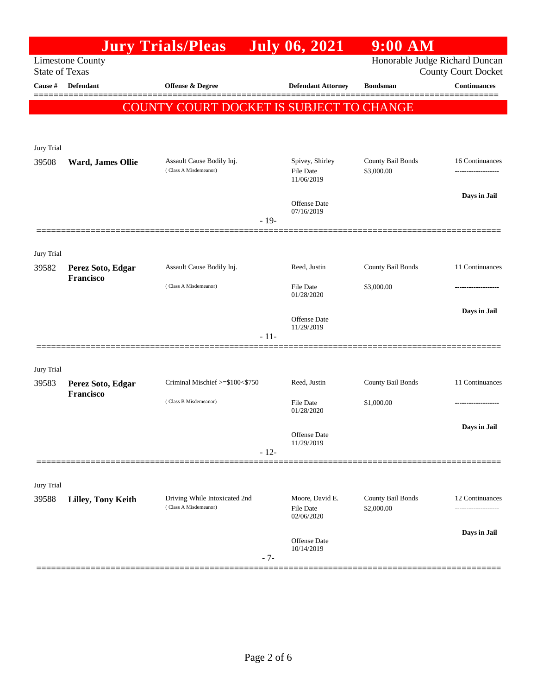|                       |                                | <b>Jury Trials/Pleas</b>                                     |        | <b>July 06, 2021</b>                | 9:00 AM                         |                     |
|-----------------------|--------------------------------|--------------------------------------------------------------|--------|-------------------------------------|---------------------------------|---------------------|
| <b>State of Texas</b> | <b>Limestone County</b>        | Honorable Judge Richard Duncan<br><b>County Court Docket</b> |        |                                     |                                 |                     |
| Cause #               | <b>Defendant</b>               | <b>Offense &amp; Degree</b>                                  |        | <b>Defendant Attorney</b>           | <b>Bondsman</b>                 | <b>Continuances</b> |
|                       |                                | COUNTY COURT DOCKET IS SUBJECT TO CHANGE                     |        |                                     |                                 | 3 = = = = = =       |
|                       |                                |                                                              |        |                                     |                                 |                     |
| Jury Trial            |                                |                                                              |        |                                     |                                 |                     |
| 39508                 | Ward, James Ollie              | Assault Cause Bodily Inj.                                    |        | Spivey, Shirley                     | County Bail Bonds               | 16 Continuances     |
|                       |                                | (Class A Misdemeanor)                                        |        | File Date<br>11/06/2019             | \$3,000.00                      |                     |
|                       |                                |                                                              |        | Offense Date                        |                                 | Days in Jail        |
|                       |                                |                                                              | $-19-$ | 07/16/2019                          |                                 |                     |
|                       |                                |                                                              |        |                                     |                                 |                     |
| Jury Trial            |                                |                                                              |        |                                     |                                 |                     |
| 39582                 | Perez Soto, Edgar<br>Francisco | Assault Cause Bodily Inj.                                    |        | Reed, Justin                        | County Bail Bonds               | 11 Continuances     |
|                       |                                | (Class A Misdemeanor)                                        |        | <b>File Date</b><br>01/28/2020      | \$3,000.00                      |                     |
|                       |                                |                                                              |        | <b>Offense</b> Date                 |                                 | Days in Jail        |
|                       |                                |                                                              | $-11-$ | 11/29/2019                          |                                 |                     |
|                       |                                |                                                              |        |                                     |                                 |                     |
| Jury Trial            |                                |                                                              |        |                                     |                                 |                     |
| 39583                 | Perez Soto, Edgar<br>Francisco | Criminal Mischief >=\$100<\$750                              |        | Reed, Justin                        | County Bail Bonds               | 11 Continuances     |
|                       |                                | (Class B Misdemeanor)                                        |        | <b>File Date</b><br>01/28/2020      | \$1,000.00                      |                     |
|                       |                                |                                                              |        | Offense Date                        |                                 | Days in Jail        |
|                       |                                |                                                              | $-12-$ | 11/29/2019                          |                                 |                     |
|                       |                                |                                                              |        |                                     |                                 |                     |
| Jury Trial            |                                |                                                              |        |                                     |                                 |                     |
| 39588                 | Lilley, Tony Keith             | Driving While Intoxicated 2nd<br>(Class A Misdemeanor)       |        | Moore, David E.<br><b>File Date</b> | County Bail Bonds<br>\$2,000.00 | 12 Continuances     |
|                       |                                |                                                              |        | 02/06/2020                          |                                 |                     |
|                       |                                |                                                              | $-7-$  | Offense Date<br>10/14/2019          |                                 | Days in Jail        |
|                       |                                |                                                              |        |                                     |                                 |                     |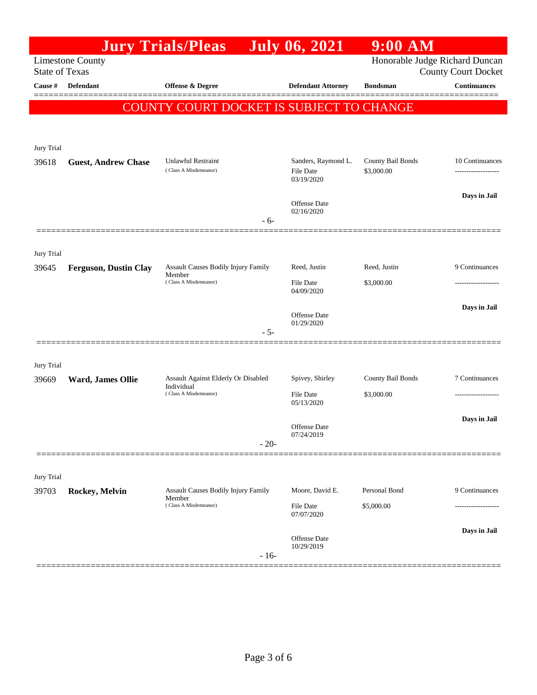|                       |                              | <b>Jury Trials/Pleas</b>                      |        | <b>July 06, 2021</b>              | $9:00$ AM                      |                            |
|-----------------------|------------------------------|-----------------------------------------------|--------|-----------------------------------|--------------------------------|----------------------------|
| <b>State of Texas</b> | <b>Limestone County</b>      |                                               |        |                                   | Honorable Judge Richard Duncan | <b>County Court Docket</b> |
| Cause #               | Defendant                    | <b>Offense &amp; Degree</b>                   |        | <b>Defendant Attorney</b>         | <b>Bondsman</b>                | <b>Continuances</b>        |
|                       |                              | COUNTY COURT DOCKET IS SUBJECT TO CHANGE      |        |                                   |                                | ======                     |
|                       |                              |                                               |        |                                   |                                |                            |
|                       |                              |                                               |        |                                   |                                |                            |
| Jury Trial<br>39618   | <b>Guest, Andrew Chase</b>   | <b>Unlawful Restraint</b>                     |        | Sanders, Raymond L.               | County Bail Bonds              | 10 Continuances            |
|                       |                              | (Class A Misdemeanor)                         |        | File Date<br>03/19/2020           | \$3,000.00                     |                            |
|                       |                              |                                               |        |                                   |                                | Days in Jail               |
|                       |                              |                                               |        | Offense Date<br>02/16/2020        |                                |                            |
|                       |                              |                                               | - 6-   |                                   |                                |                            |
| Jury Trial            |                              |                                               |        |                                   |                                |                            |
| 39645                 | <b>Ferguson, Dustin Clay</b> | Assault Causes Bodily Injury Family<br>Member |        | Reed, Justin                      | Reed, Justin                   | 9 Continuances             |
|                       |                              | (Class A Misdemeanor)                         |        | File Date<br>04/09/2020           | \$3,000.00                     | .                          |
|                       |                              |                                               |        |                                   |                                | Days in Jail               |
|                       |                              |                                               |        | Offense Date<br>01/29/2020        |                                |                            |
|                       |                              |                                               | $-5-$  |                                   |                                |                            |
| Jury Trial            |                              |                                               |        |                                   |                                |                            |
| 39669                 | Ward, James Ollie            | Assault Against Elderly Or Disabled           |        | Spivey, Shirley                   | County Bail Bonds              | 7 Continuances             |
|                       |                              | Individual<br>(Class A Misdemeanor)           |        | File Date<br>05/13/2020           | \$3,000.00                     |                            |
|                       |                              |                                               |        |                                   |                                | Days in Jail               |
|                       |                              |                                               |        | Offense Date<br>07/24/2019        |                                |                            |
|                       |                              |                                               | $-20-$ |                                   |                                |                            |
| Jury Trial            |                              |                                               |        |                                   |                                |                            |
| 39703                 | Rockey, Melvin               | <b>Assault Causes Bodily Injury Family</b>    |        | Moore, David E.                   | Personal Bond                  | 9 Continuances             |
|                       |                              | Member<br>(Class A Misdemeanor)               |        | File Date<br>07/07/2020           | \$5,000.00                     |                            |
|                       |                              |                                               |        |                                   |                                | Days in Jail               |
|                       |                              |                                               |        | <b>Offense</b> Date<br>10/29/2019 |                                |                            |
|                       |                              |                                               | $-16-$ |                                   |                                |                            |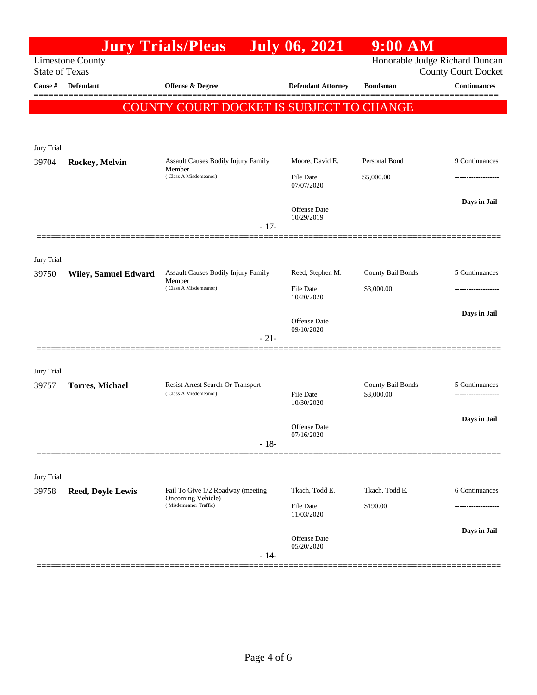|                                                  |                                | <b>Jury Trials/Pleas</b>                                   | July 06, 2021                  | $9:00$ AM                       |                     |
|--------------------------------------------------|--------------------------------|------------------------------------------------------------|--------------------------------|---------------------------------|---------------------|
| <b>Limestone County</b><br><b>State of Texas</b> | Honorable Judge Richard Duncan | <b>County Court Docket</b>                                 |                                |                                 |                     |
| Cause #                                          | <b>Defendant</b>               | <b>Offense &amp; Degree</b>                                | <b>Defendant Attorney</b>      | <b>Bondsman</b>                 | <b>Continuances</b> |
|                                                  |                                | COUNTY COURT DOCKET IS SUBJECT TO CHANGE                   |                                |                                 | -----               |
|                                                  |                                |                                                            |                                |                                 |                     |
| Jury Trial                                       |                                |                                                            |                                |                                 |                     |
| 39704                                            | Rockey, Melvin                 | <b>Assault Causes Bodily Injury Family</b>                 | Moore, David E.                | Personal Bond                   | 9 Continuances      |
|                                                  |                                | Member<br>(Class A Misdemeanor)                            | <b>File Date</b><br>07/07/2020 | \$5,000.00                      |                     |
|                                                  |                                |                                                            |                                |                                 | Days in Jail        |
|                                                  |                                |                                                            | Offense Date<br>10/29/2019     |                                 |                     |
|                                                  |                                | $-17-$                                                     |                                |                                 |                     |
| Jury Trial                                       |                                |                                                            |                                |                                 |                     |
| 39750                                            | <b>Wiley, Samuel Edward</b>    | Assault Causes Bodily Injury Family<br>Member              | Reed, Stephen M.               | County Bail Bonds               | 5 Continuances      |
|                                                  |                                | (Class A Misdemeanor)                                      | <b>File Date</b><br>10/20/2020 | \$3,000.00                      | ------------------  |
|                                                  |                                |                                                            |                                |                                 | Days in Jail        |
|                                                  |                                | $-21-$                                                     | Offense Date<br>09/10/2020     |                                 |                     |
|                                                  |                                |                                                            |                                |                                 |                     |
| Jury Trial                                       |                                |                                                            |                                |                                 |                     |
| 39757                                            | <b>Torres, Michael</b>         | Resist Arrest Search Or Transport<br>(Class A Misdemeanor) | <b>File Date</b>               | County Bail Bonds<br>\$3,000.00 | 5 Continuances      |
|                                                  |                                |                                                            | 10/30/2020                     |                                 |                     |
|                                                  |                                |                                                            | Offense Date                   |                                 | Days in Jail        |
|                                                  |                                | $-18-$                                                     | 07/16/2020                     |                                 |                     |
|                                                  |                                |                                                            |                                |                                 |                     |
| Jury Trial<br>39758                              | <b>Reed, Doyle Lewis</b>       | Fail To Give 1/2 Roadway (meeting                          | Tkach, Todd E.                 | Tkach, Todd E.                  | 6 Continuances      |
|                                                  |                                | Oncoming Vehicle)<br>(Misdemeanor Traffic)                 | File Date                      | \$190.00                        |                     |
|                                                  |                                |                                                            | 11/03/2020                     |                                 |                     |
|                                                  |                                |                                                            | Offense Date<br>05/20/2020     |                                 | Days in Jail        |
|                                                  |                                | $-14-$                                                     |                                |                                 |                     |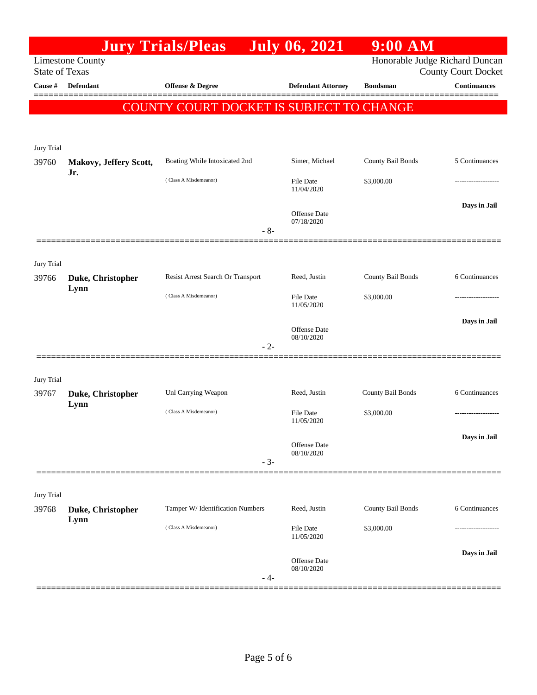|                                  |                         | <b>Jury Trials/Pleas</b>                 | <b>July 06, 2021</b>      | $9:00$ AM         |                                                   |
|----------------------------------|-------------------------|------------------------------------------|---------------------------|-------------------|---------------------------------------------------|
|                                  | <b>Limestone County</b> |                                          |                           |                   | Honorable Judge Richard Duncan                    |
| <b>State of Texas</b><br>Cause # | <b>Defendant</b>        | <b>Offense &amp; Degree</b>              | <b>Defendant Attorney</b> | <b>Bondsman</b>   | <b>County Court Docket</b><br><b>Continuances</b> |
|                                  |                         |                                          |                           |                   |                                                   |
|                                  |                         | COUNTY COURT DOCKET IS SUBJECT TO CHANGE |                           |                   |                                                   |
|                                  |                         |                                          |                           |                   |                                                   |
| Jury Trial                       |                         |                                          |                           |                   |                                                   |
| 39760                            | Makovy, Jeffery Scott,  | Boating While Intoxicated 2nd            | Simer, Michael            | County Bail Bonds | 5 Continuances                                    |
|                                  | Jr.                     | (Class A Misdemeanor)                    | File Date                 | \$3,000.00        |                                                   |
|                                  |                         |                                          | 11/04/2020                |                   |                                                   |
|                                  |                         |                                          | Offense Date              |                   | Days in Jail                                      |
|                                  |                         | $-8-$                                    | 07/18/2020                |                   |                                                   |
|                                  |                         |                                          |                           |                   |                                                   |
| Jury Trial                       |                         |                                          |                           |                   |                                                   |
| 39766                            | Duke, Christopher       | Resist Arrest Search Or Transport        | Reed, Justin              | County Bail Bonds | 6 Continuances                                    |
|                                  | Lynn                    | (Class A Misdemeanor)                    | File Date                 | \$3,000.00        |                                                   |
|                                  |                         |                                          | 11/05/2020                |                   |                                                   |
|                                  |                         |                                          | <b>Offense</b> Date       |                   | Days in Jail                                      |
|                                  |                         | $-2-$                                    | 08/10/2020                |                   |                                                   |
|                                  |                         |                                          |                           |                   |                                                   |
| Jury Trial                       |                         |                                          |                           |                   |                                                   |
| 39767                            | Duke, Christopher       | Unl Carrying Weapon                      | Reed, Justin              | County Bail Bonds | 6 Continuances                                    |
|                                  | Lynn                    | (Class A Misdemeanor)                    | File Date                 | \$3,000.00        |                                                   |
|                                  |                         |                                          | 11/05/2020                |                   |                                                   |
|                                  |                         |                                          | Offense Date              |                   | Days in Jail                                      |
|                                  |                         | $-3-$                                    | 08/10/2020                |                   |                                                   |
|                                  |                         |                                          |                           |                   |                                                   |
| Jury Trial                       |                         |                                          |                           |                   |                                                   |
| 39768                            | Duke, Christopher       | Tamper W/ Identification Numbers         | Reed, Justin              | County Bail Bonds | 6 Continuances                                    |
|                                  | Lynn                    | (Class A Misdemeanor)                    | File Date                 | \$3,000.00        |                                                   |
|                                  |                         |                                          | 11/05/2020                |                   |                                                   |
|                                  |                         |                                          | <b>Offense</b> Date       |                   | Days in Jail                                      |
|                                  |                         | - 4-                                     | 08/10/2020                |                   |                                                   |
|                                  |                         |                                          |                           |                   |                                                   |